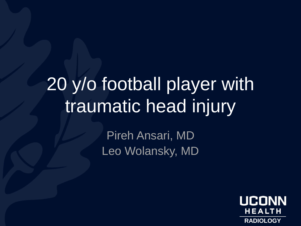## 20 y/o football player with traumatic head injury

Pireh Ansari, MD Leo Wolansky, MD

> CONN HEALTH **RADIOLOGY**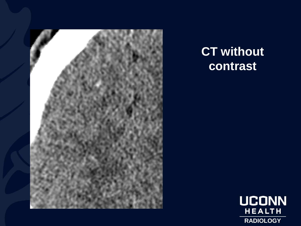

#### **CT without contrast**

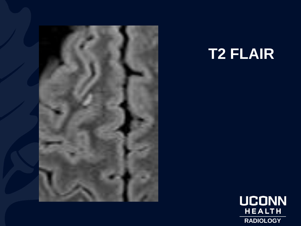

## **T2 FLAIR**

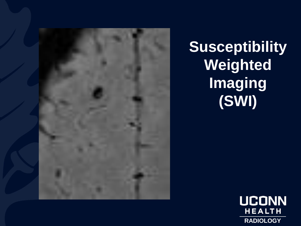

**Susceptibility Weighted Imaging (SWI)**

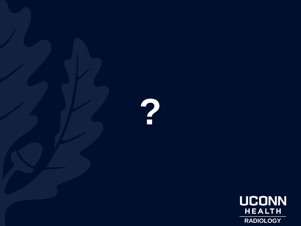

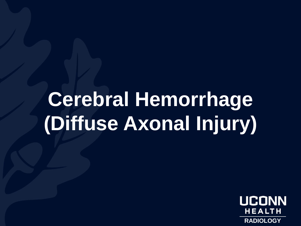# **Cerebral Hemorrhage (Diffuse Axonal Injury)**

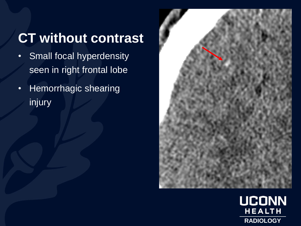#### **CT without contrast**

- Small focal hyperdensity seen in right frontal lobe
- Hemorrhagic shearing injury



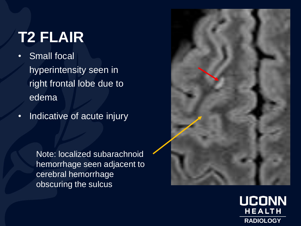#### **T2 FLAIR**

- Small focal hyperintensity seen in right frontal lobe due to edema
- Indicative of acute injury

Note: localized subarachnoid hemorrhage seen adjacent to cerebral hemorrhage obscuring the sulcus



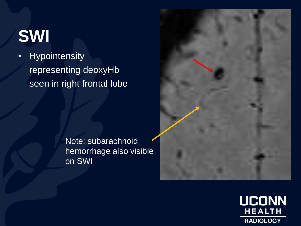## **SWI**

• Hypointensity representing deoxyHb seen in right frontal lobe

> Note: subarachnoid hemorrhage also visible on SWI



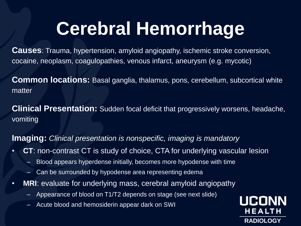## **Cerebral Hemorrhage**

**Causes**: Trauma, hypertension, amyloid angiopathy, ischemic stroke conversion, cocaine, neoplasm, coagulopathies, venous infarct, aneurysm (e.g. mycotic)

**Common locations:** Basal ganglia, thalamus, pons, cerebellum, subcortical white matter

**Clinical Presentation:** Sudden focal deficit that progressively worsens, headache, vomiting

**RADIOLOGY**

HEALTH

CONN

**Imaging:** *Clinical presentation is nonspecific, imaging is mandatory*

- **CT**: non-contrast CT is study of choice, CTA for underlying vascular lesion
	- Blood appears hyperdense initially, becomes more hypodense with time
	- Can be surrounded by hypodense area representing edema
- **MRI**: evaluate for underlying mass, cerebral amyloid angiopathy
	- Appearance of blood on T1/T2 depends on stage (see next slide)
	- Acute blood and hemosiderin appear dark on SWI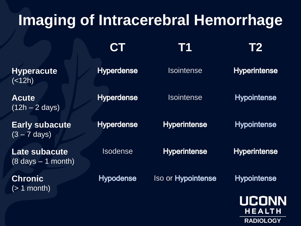#### **Imaging of Intracerebral Hemorrhage**

|                                                       | $\mathsf{C}\mathsf{T}$ | Τ1                  | Τ2                  |
|-------------------------------------------------------|------------------------|---------------------|---------------------|
| <b>Hyperacute</b><br>(<12h)                           | <b>Hyperdense</b>      | <b>Isointense</b>   | <b>Hyperintense</b> |
| <b>Acute</b><br>$(12h - 2 \text{ days})$              | <b>Hyperdense</b>      | <b>Isointense</b>   | <b>Hypointense</b>  |
| <b>Early subacute</b><br>$(3 - 7 \text{ days})$       | <b>Hyperdense</b>      | <b>Hyperintense</b> | <b>Hypointense</b>  |
| Late subacute<br>$(8 \text{ days} - 1 \text{ month})$ | <b>Isodense</b>        | <b>Hyperintense</b> | <b>Hyperintense</b> |
| <b>Chronic</b><br>$($ 1 month)                        | <b>Hypodense</b>       | Iso or Hypointense  | <b>Hypointense</b>  |
|                                                       |                        |                     | UCONI               |

**RADIOLOGY**

HEA